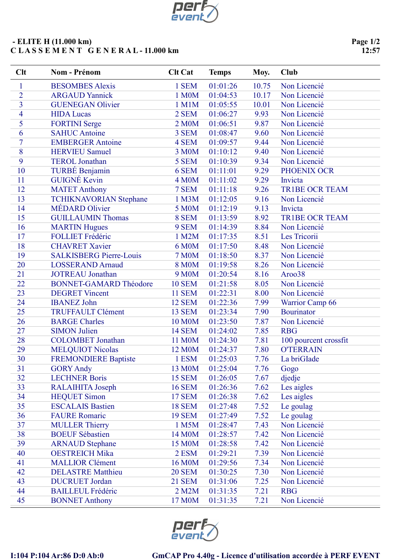

## - ELITE H (11.000 km) C L A S S E M E N T G E N E R A L - 11.000 km

| Clt            | Nom - Prénom                   | <b>Clt Cat</b>     | <b>Temps</b> | Moy.  | Club                  |
|----------------|--------------------------------|--------------------|--------------|-------|-----------------------|
| $\mathbf{1}$   | <b>BESOMBES Alexis</b>         | 1 SEM              | 01:01:26     | 10.75 | Non Licencié          |
| $\overline{2}$ | <b>ARGAUD Yannick</b>          | 1 M0M              | 01:04:53     | 10.17 | Non Licencié          |
| $\overline{3}$ | <b>GUENEGAN Olivier</b>        | 1 M1M              | 01:05:55     | 10.01 | Non Licencié          |
| 4              | <b>HIDA Lucas</b>              | 2 SEM              | 01:06:27     | 9.93  | Non Licencié          |
| 5              | <b>FORTINI</b> Serge           | 2 M0M              | 01:06:51     | 9.87  | Non Licencié          |
| 6              | <b>SAHUC Antoine</b>           | 3 SEM              | 01:08:47     | 9.60  | Non Licencié          |
| $\overline{7}$ | <b>EMBERGER Antoine</b>        | 4 SEM              | 01:09:57     | 9.44  | Non Licencié          |
| 8              | <b>HERVIEU Samuel</b>          | 3 M0M              | 01:10:12     | 9.40  | Non Licencié          |
| 9              | <b>TEROL Jonathan</b>          | 5 SEM              | 01:10:39     | 9.34  | Non Licencié          |
| 10             | TURBÉ Benjamin                 | 6 SEM              | 01:11:01     | 9.29  | PHOENIX OCR           |
| 11             | <b>GUIGNÉ Kevin</b>            | 4 M <sub>0</sub> M | 01:11:02     | 9.29  | Invicta               |
| 12             | <b>MATET Anthony</b>           | 7 SEM              | 01:11:18     | 9.26  | <b>TR1BE OCR TEAM</b> |
| 13             | <b>TCHIKNAVORIAN Stephane</b>  | 1 M3M              | 01:12:05     | 9.16  | Non Licencié          |
| 14             | <b>MÉDARD</b> Olivier          | 5 M0M              | 01:12:19     | 9.13  | Invicta               |
| 15             | <b>GUILLAUMIN Thomas</b>       | 8 SEM              | 01:13:59     | 8.92  | <b>TR1BE OCR TEAM</b> |
| 16             | <b>MARTIN Hugues</b>           | 9 SEM              | 01:14:39     | 8.84  | Non Licencié          |
| 17             | <b>FOLLIET Frédéric</b>        | 1 M2M              | 01:17:35     | 8.51  | Les Tricorii          |
| 18             | <b>CHAVRET Xavier</b>          | 6 M0M              | 01:17:50     | 8.48  | Non Licencié          |
| 19             | <b>SALKISBERG Pierre-Louis</b> | <b>7 M0M</b>       | 01:18:50     | 8.37  | Non Licencié          |
| 20             | <b>LOSSERAND Arnaud</b>        | <b>8 M0M</b>       | 01:19:58     | 8.26  | Non Licencié          |
| 21             | <b>JOTREAU</b> Jonathan        | 9 M <sub>0</sub> M | 01:20:54     | 8.16  | Aroo38                |
| 22             | <b>BONNET-GAMARD Théodore</b>  | <b>10 SEM</b>      | 01:21:58     | 8.05  | Non Licencié          |
| 23             | <b>DEGRET Vincent</b>          | <b>11 SEM</b>      | 01:22:31     | 8.00  | Non Licencié          |
| 24             | <b>IBANEZ John</b>             | <b>12 SEM</b>      | 01:22:36     | 7.99  | Warrior Camp 66       |
| 25             | <b>TRUFFAULT Clément</b>       | <b>13 SEM</b>      | 01:23:34     | 7.90  | <b>Bourinator</b>     |
| 26             | <b>BARGE Charles</b>           | <b>10 M0M</b>      | 01:23:50     | 7.87  | Non Licencié          |
| 27             | <b>SIMON Julien</b>            | <b>14 SEM</b>      | 01:24:02     | 7.85  | <b>RBG</b>            |
| 28             | <b>COLOMBET</b> Jonathan       | 11 M0M             | 01:24:30     | 7.81  | 100 pourcent crossfit |
| 29             | <b>MELQUIOT Nicolas</b>        | 12 M0M             | 01:24:37     | 7.80  | <b>O'TERRAIN</b>      |
| 30             | <b>FREMONDIERE Baptiste</b>    | 1 ESM              | 01:25:03     | 7.76  | La briGIade           |
| 31             | <b>GORY Andy</b>               | 13 M0M             | 01:25:04     | 7.76  | Gogo                  |
| 32             | <b>LECHNER Boris</b>           | <b>15 SEM</b>      | 01:26:05     | 7.67  | djedje                |
| 33             | RALAIHITA Joseph               | <b>16 SEM</b>      | 01:26:36     | 7.62  | Les aigles            |
| 34             | <b>HEQUET Simon</b>            | <b>17 SEM</b>      | 01:26:38     | 7.62  | Les aigles            |
| 35             | <b>ESCALAIS Bastien</b>        | <b>18 SEM</b>      | 01:27:48     | 7.52  | Le goulag             |
| 36             | <b>FAURE Romaric</b>           | <b>19 SEM</b>      | 01:27:49     | 7.52  | Le goulag             |
| 37             | <b>MULLER Thierry</b>          | 1 M5M              | 01:28:47     | 7.43  | Non Licencié          |
| 38             | <b>BOEUF Sébastien</b>         | 14 M0M             | 01:28:57     | 7.42  | Non Licencié          |
| 39             | <b>ARNAUD Stephane</b>         | 15 M0M             | 01:28:58     | 7.42  | Non Licencié          |
| 40             | <b>OESTREICH Mika</b>          | 2 ESM              | 01:29:21     | 7.39  | Non Licencié          |
| 41             | <b>MALLIOR Clément</b>         | 16 M0M             | 01:29:56     | 7.34  | Non Licencié          |
| 42             | <b>DELASTRE Matthieu</b>       | <b>20 SEM</b>      | 01:30:25     | 7.30  | Non Licencié          |
| 43             | <b>DUCRUET Jordan</b>          | <b>21 SEM</b>      | 01:31:06     | 7.25  | Non Licencié          |
| 44             | <b>BAILLEUL Frédéric</b>       | 2 M2M              | 01:31:35     | 7.21  | <b>RBG</b>            |
| 45             | <b>BONNET Anthony</b>          | 17 M0M             | 01:31:35     | 7.21  | Non Licencié          |



## I:104 P:104 Ar:86 D:0 Ab:0 GmCAP Pro 4.40g - Licence d'utilisation accordée à PERF EVENT